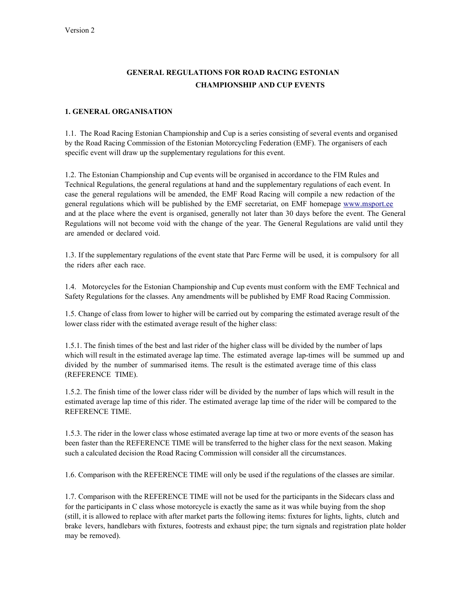# **GENERAL REGULATIONS FOR ROAD RACING ESTONIAN CHAMPIONSHIP AND CUP EVENTS**

## **1. GENERAL ORGANISATION**

1.1. The Road Racing Estonian Championship and Cup is a series consisting of several events and organised by the Road Racing Commission of the Estonian Motorcycling Federation (EMF). The organisers of each specific event will draw up the supplementary regulations for this event.

1.2. The Estonian Championship and Cup events will be organised in accordance to the FIM Rules and Technical Regulations, the general regulations at hand and the supplementary regulations of each event. In case the general regulations will be amended, the EMF Road Racing will compile a new redaction of the general regulations which will be published by the EMF secretariat, on EMF homepage [www.msport.ee](http://www.msport.ee/)  and at the place where the event is organised, generally not later than 30 days before the event. The General Regulations will not become void with the change of the year. The General Regulations are valid until they are amended or declared void.

1.3. If the supplementary regulations of the event state that Parc Ferme will be used, it is compulsory for all the riders after each race.

1.4. Motorcycles for the Estonian Championship and Cup events must conform with the EMF Technical and Safety Regulations for the classes. Any amendments will be published by EMF Road Racing Commission.

1.5. Change of class from lower to higher will be carried out by comparing the estimated average result of the lower class rider with the estimated average result of the higher class:

1.5.1. The finish times of the best and last rider of the higher class will be divided by the number of laps which will result in the estimated average lap time. The estimated average lap-times will be summed up and divided by the number of summarised items. The result is the estimated average time of this class (REFERENCE TIME).

1.5.2. The finish time of the lower class rider will be divided by the number of laps which will result in the estimated average lap time of this rider. The estimated average lap time of the rider will be compared to the REFERENCE TIME.

1.5.3. The rider in the lower class whose estimated average lap time at two or more events of the season has been faster than the REFERENCE TIME will be transferred to the higher class for the next season. Making such a calculated decision the Road Racing Commission will consider all the circumstances.

1.6. Comparison with the REFERENCE TIME will only be used if the regulations of the classes are similar.

1.7. Comparison with the REFERENCE TIME will not be used for the participants in the Sidecars class and for the participants in C class whose motorcycle is exactly the same as it was while buying from the shop (still, it is allowed to replace with after market parts the following items: fixtures for lights, lights, clutch and brake levers, handlebars with fixtures, footrests and exhaust pipe; the turn signals and registration plate holder may be removed).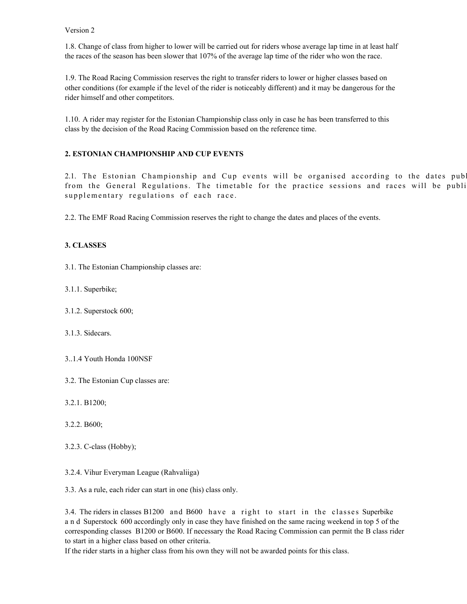1.8. Change of class from higher to lower will be carried out for riders whose average lap time in at least half the races of the season has been slower that 107% of the average lap time of the rider who won the race.

1.9. The Road Racing Commission reserves the right to transfer riders to lower or higher classes based on other conditions (for example if the level of the rider is noticeably different) and it may be dangerous for the rider himself and other competitors.

1.10. A rider may register for the Estonian Championship class only in case he has been transferred to this class by the decision of the Road Racing Commission based on the reference time.

## **2. ESTONIAN CHAMPIONSHIP AND CUP EVENTS**

2.1. The Estonian Championship and Cup events will be organised according to the dates pub from the General Regulations. The timetable for the practice sessions and races will be publi supplementary regulations of each race.

2.2. The EMF Road Racing Commission reserves the right to change the dates and places of the events.

## **3. CLASSES**

3.1. The Estonian Championship classes are:

- 3.1.1. Superbike;
- 3.1.2. Superstock 600;
- 3.1.3. Sidecars.
- 3..1.4 Youth Honda 100NSF
- 3.2. The Estonian Cup classes are:
- 3.2.1. B1200;
- 3.2.2. B600;
- 3.2.3. C-class (Hobby);
- 3.2.4. Vihur Everyman League (Rahvaliiga)

3.3. As a rule, each rider can start in one (his) class only.

3.4. The riders in classes B1200 and B600 have a right to start in the classes Superbike a n d Superstock 600 accordingly only in case they have finished on the same racing weekend in top 5 of the corresponding classes B1200 or B600. If necessary the Road Racing Commission can permit the B class rider to start in a higher class based on other criteria.

If the rider starts in a higher class from his own they will not be awarded points for this class.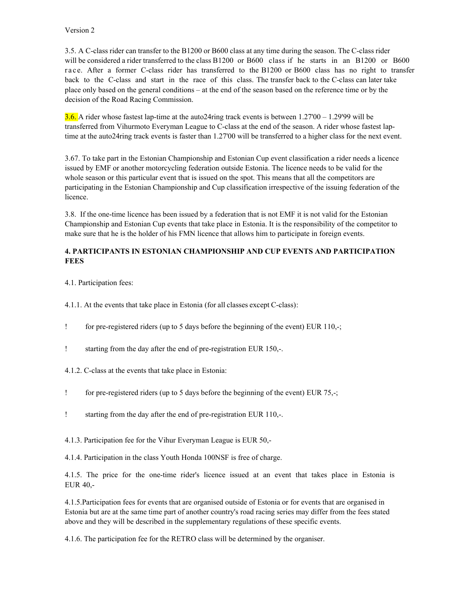3.5. A C-class rider can transfer to the B1200 or B600 class at any time during the season. The C-class rider will be considered a rider transferred to the class B1200 or B600 class if he starts in an B1200 or B600 race. After a former C-class rider has transferred to the B1200 or B600 class has no right to transfer back to the C-class and start in the race of this class. The transfer back to the C-class can later take place only based on the general conditions – at the end of the season based on the reference time or by the decision of the Road Racing Commission.

**3.6.** A rider whose fastest lap-time at the auto24ring track events is between  $1.27'00 - 1.29'99$  will be transferred from Vihurmoto Everyman League to C-class at the end of the season. A rider whose fastest laptime at the auto24ring track events is faster than 1.27'00 will be transferred to a higher class for the next event.

3.67. To take part in the Estonian Championship and Estonian Cup event classification a rider needs a licence issued by EMF or another motorcycling federation outside Estonia. The licence needs to be valid for the whole season or this particular event that is issued on the spot. This means that all the competitors are participating in the Estonian Championship and Cup classification irrespective of the issuing federation of the licence.

3.8. If the one-time licence has been issued by a federation that is not EMF it is not valid for the Estonian Championship and Estonian Cup events that take place in Estonia. It is the responsibility of the competitor to make sure that he is the holder of his FMN licence that allows him to participate in foreign events.

# **4. PARTICIPANTS IN ESTONIAN CHAMPIONSHIP AND CUP EVENTS AND PARTICIPATION FEES**

4.1. Participation fees:

4.1.1. At the events that take place in Estonia (for all classes except C-class):

- for pre-registered riders (up to 5 days before the beginning of the event) EUR 110,-;
- starting from the day after the end of pre-registration EUR 150,-.
- 4.1.2. C-class at the events that take place in Estonia:
- for pre-registered riders (up to 5 days before the beginning of the event) EUR 75,-;
- starting from the day after the end of pre-registration EUR 110,-.

4.1.3. Participation fee for the Vihur Everyman League is EUR 50,-

4.1.4. Participation in the class Youth Honda 100NSF is free of charge.

4.1.5. The price for the one-time rider's licence issued at an event that takes place in Estonia is EUR 40,-

4.1.5.Participation fees for events that are organised outside of Estonia or for events that are organised in Estonia but are at the same time part of another country's road racing series may differ from the fees stated above and they will be described in the supplementary regulations of these specific events.

4.1.6. The participation fee for the RETRO class will be determined by the organiser.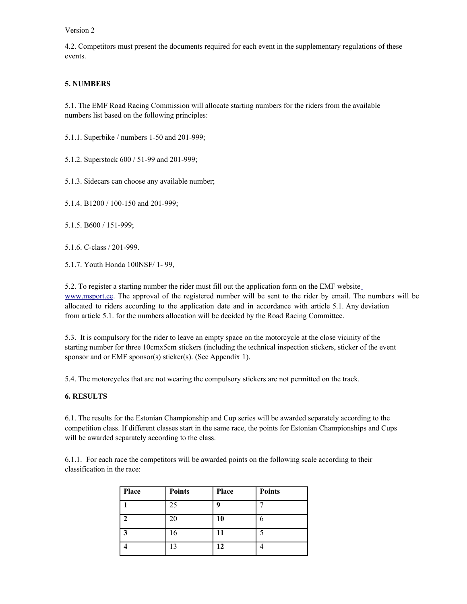4.2. Competitors must present the documents required for each event in the supplementary regulations of these events.

# **5. NUMBERS**

5.1. The EMF Road Racing Commission will allocate starting numbers for the riders from the available numbers list based on the following principles:

5.1.1. Superbike / numbers 1-50 and 201-999;

5.1.2. Superstock 600 / 51-99 and 201-999;

5.1.3. Sidecars can choose any available number;

5.1.4. B1200 / 100-150 and 201-999;

5.1.5. B600 / 151-999;

5.1.6. C-class / 201-999.

5.1.7. Youth Honda 100NSF/ 1- 99,

5.2. To register a starting number the rider must fill out the application form on the EMF websit[e](http://www.msport.ee/) [www.msport.ee.](http://www.msport.ee/) The approval of the registered number will be sent to the rider by email. The numbers will be allocated to riders according to the application date and in accordance with article 5.1. Any deviation from article 5.1. for the numbers allocation will be decided by the Road Racing Committee.

5.3. It is compulsory for the rider to leave an empty space on the motorcycle at the close vicinity of the starting number for three 10cmx5cm stickers (including the technical inspection stickers, sticker of the event sponsor and or EMF sponsor(s) sticker(s). (See Appendix 1).

5.4. The motorcycles that are not wearing the compulsory stickers are not permitted on the track.

#### **6. RESULTS**

6.1. The results for the Estonian Championship and Cup series will be awarded separately according to the competition class. If different classes start in the same race, the points for Estonian Championships and Cups will be awarded separately according to the class.

6.1.1. For each race the competitors will be awarded points on the following scale according to their classification in the race:

| Place | <b>Points</b> | Place | <b>Points</b> |
|-------|---------------|-------|---------------|
|       | 25            | q     |               |
|       | 20            | 10    |               |
| ∍     | 16            | 11    | c             |
|       | 13            | 12    |               |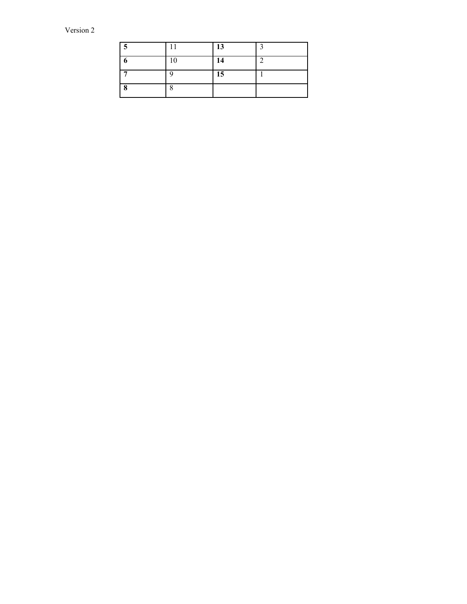| $\epsilon$ |    | 13 | ◠ |
|------------|----|----|---|
| o          | 10 | 14 |   |
|            |    | 15 |   |
| 8          | Ő  |    |   |